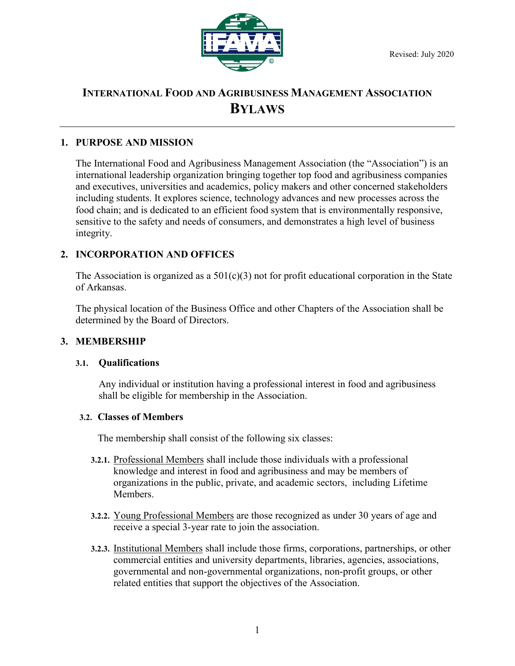

# **INTERNATIONAL FOOD AND AGRIBUSINESS MANAGEMENT ASSOCIATION BYLAWS**

# **1. PURPOSE AND MISSION**

The International Food and Agribusiness Management Association (the "Association") is an international leadership organization bringing together top food and agribusiness companies and executives, universities and academics, policy makers and other concerned stakeholders including students. It explores science, technology advances and new processes across the food chain; and is dedicated to an efficient food system that is environmentally responsive, sensitive to the safety and needs of consumers, and demonstrates a high level of business integrity.

# **2. INCORPORATION AND OFFICES**

The Association is organized as a  $501(c)(3)$  not for profit educational corporation in the State of Arkansas.

The physical location of the Business Office and other Chapters of the Association shall be determined by the Board of Directors.

# **3. MEMBERSHIP**

### **3.1. Qualifications**

Any individual or institution having a professional interest in food and agribusiness shall be eligible for membership in the Association.

### **3.2. Classes of Members**

The membership shall consist of the following six classes:

- **3.2.1.** Professional Members shall include those individuals with a professional knowledge and interest in food and agribusiness and may be members of organizations in the public, private, and academic sectors, including Lifetime Members.
- **3.2.2.** Young Professional Members are those recognized as under 30 years of age and receive a special 3-year rate to join the association.
- **3.2.3.** Institutional Members shall include those firms, corporations, partnerships, or other commercial entities and university departments, libraries, agencies, associations, governmental and non-governmental organizations, non-profit groups, or other related entities that support the objectives of the Association.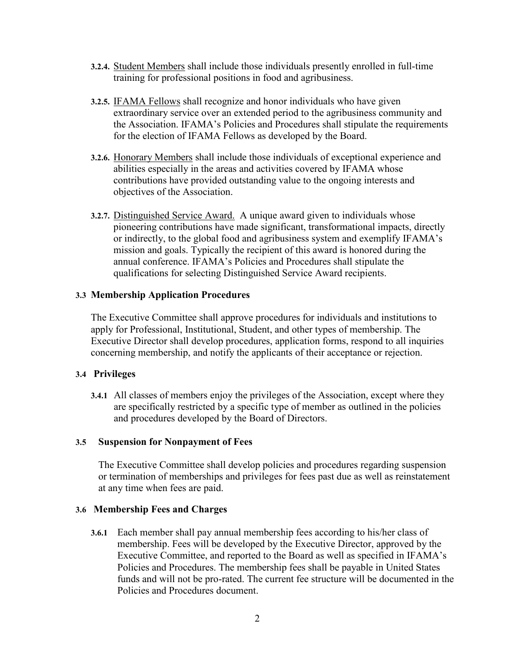- **3.2.4.** Student Members shall include those individuals presently enrolled in full-time training for professional positions in food and agribusiness.
- **3.2.5.** IFAMA Fellows shall recognize and honor individuals who have given extraordinary service over an extended period to the agribusiness community and the Association. IFAMA's Policies and Procedures shall stipulate the requirements for the election of IFAMA Fellows as developed by the Board.
- **3.2.6.** Honorary Members shall include those individuals of exceptional experience and abilities especially in the areas and activities covered by IFAMA whose contributions have provided outstanding value to the ongoing interests and objectives of the Association.
- **3.2.7.** Distinguished Service Award. A unique award given to individuals whose pioneering contributions have made significant, transformational impacts, directly or indirectly, to the global food and agribusiness system and exemplify IFAMA's mission and goals. Typically the recipient of this award is honored during the annual conference. IFAMA's Policies and Procedures shall stipulate the qualifications for selecting Distinguished Service Award recipients.

# **3.3 Membership Application Procedures**

The Executive Committee shall approve procedures for individuals and institutions to apply for Professional, Institutional, Student, and other types of membership. The Executive Director shall develop procedures, application forms, respond to all inquiries concerning membership, and notify the applicants of their acceptance or rejection.

# **3.4 Privileges**

**3.4.1** All classes of members enjoy the privileges of the Association, except where they are specifically restricted by a specific type of member as outlined in the policies and procedures developed by the Board of Directors.

# **3.5 Suspension for Nonpayment of Fees**

The Executive Committee shall develop policies and procedures regarding suspension or termination of memberships and privileges for fees past due as well as reinstatement at any time when fees are paid.

# **3.6 Membership Fees and Charges**

**3.6.1** Each member shall pay annual membership fees according to his/her class of membership. Fees will be developed by the Executive Director, approved by the Executive Committee, and reported to the Board as well as specified in IFAMA's Policies and Procedures. The membership fees shall be payable in United States funds and will not be pro-rated. The current fee structure will be documented in the Policies and Procedures document.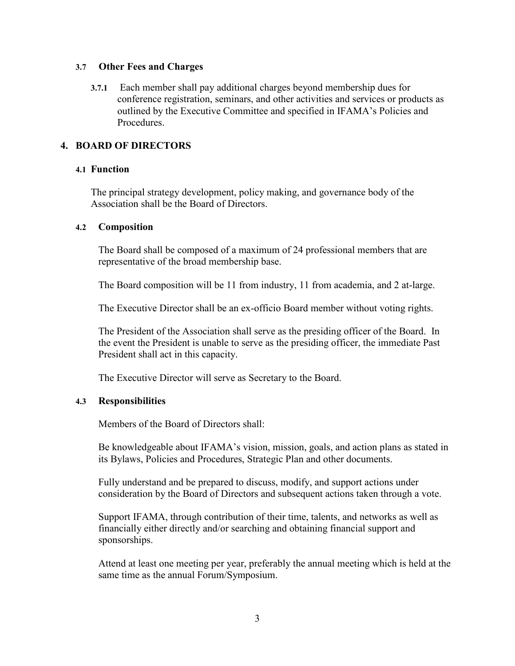### **3.7 Other Fees and Charges**

**3.7.1** Each member shall pay additional charges beyond membership dues for conference registration, seminars, and other activities and services or products as outlined by the Executive Committee and specified in IFAMA's Policies and Procedures.

# **4. BOARD OF DIRECTORS**

### **4.1 Function**

The principal strategy development, policy making, and governance body of the Association shall be the Board of Directors.

### **4.2 Composition**

The Board shall be composed of a maximum of 24 professional members that are representative of the broad membership base.

The Board composition will be 11 from industry, 11 from academia, and 2 at-large.

The Executive Director shall be an ex-officio Board member without voting rights.

The President of the Association shall serve as the presiding officer of the Board. In the event the President is unable to serve as the presiding officer, the immediate Past President shall act in this capacity.

The Executive Director will serve as Secretary to the Board.

# **4.3 Responsibilities**

Members of the Board of Directors shall:

Be knowledgeable about IFAMA's vision, mission, goals, and action plans as stated in its Bylaws, Policies and Procedures, Strategic Plan and other documents.

Fully understand and be prepared to discuss, modify, and support actions under consideration by the Board of Directors and subsequent actions taken through a vote.

Support IFAMA, through contribution of their time, talents, and networks as well as financially either directly and/or searching and obtaining financial support and sponsorships.

Attend at least one meeting per year, preferably the annual meeting which is held at the same time as the annual Forum/Symposium.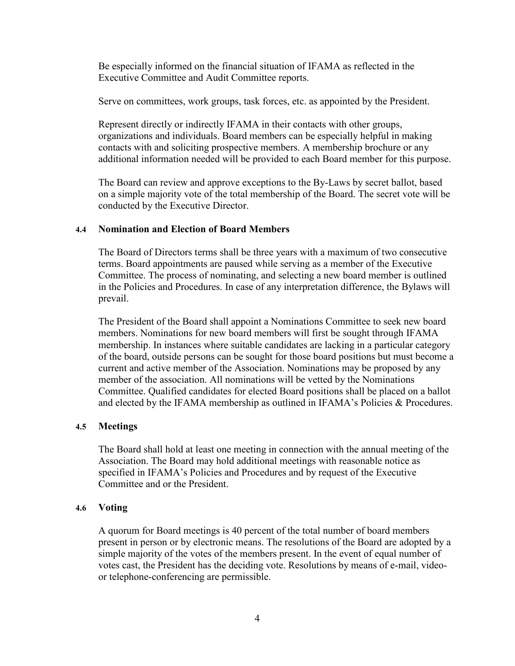Be especially informed on the financial situation of IFAMA as reflected in the Executive Committee and Audit Committee reports.

Serve on committees, work groups, task forces, etc. as appointed by the President.

Represent directly or indirectly IFAMA in their contacts with other groups, organizations and individuals. Board members can be especially helpful in making contacts with and soliciting prospective members. A membership brochure or any additional information needed will be provided to each Board member for this purpose.

The Board can review and approve exceptions to the By-Laws by secret ballot, based on a simple majority vote of the total membership of the Board. The secret vote will be conducted by the Executive Director.

### **4.4 Nomination and Election of Board Members**

The Board of Directors terms shall be three years with a maximum of two consecutive terms. Board appointments are paused while serving as a member of the Executive Committee. The process of nominating, and selecting a new board member is outlined in the Policies and Procedures. In case of any interpretation difference, the Bylaws will prevail.

The President of the Board shall appoint a Nominations Committee to seek new board members. Nominations for new board members will first be sought through IFAMA membership. In instances where suitable candidates are lacking in a particular category of the board, outside persons can be sought for those board positions but must become a current and active member of the Association. Nominations may be proposed by any member of the association. All nominations will be vetted by the Nominations Committee. Qualified candidates for elected Board positions shall be placed on a ballot and elected by the IFAMA membership as outlined in IFAMA's Policies & Procedures.

#### **4.5 Meetings**

The Board shall hold at least one meeting in connection with the annual meeting of the Association. The Board may hold additional meetings with reasonable notice as specified in IFAMA's Policies and Procedures and by request of the Executive Committee and or the President.

#### **4.6 Voting**

A quorum for Board meetings is 40 percent of the total number of board members present in person or by electronic means. The resolutions of the Board are adopted by a simple majority of the votes of the members present. In the event of equal number of votes cast, the President has the deciding vote. Resolutions by means of e-mail, videoor telephone-conferencing are permissible.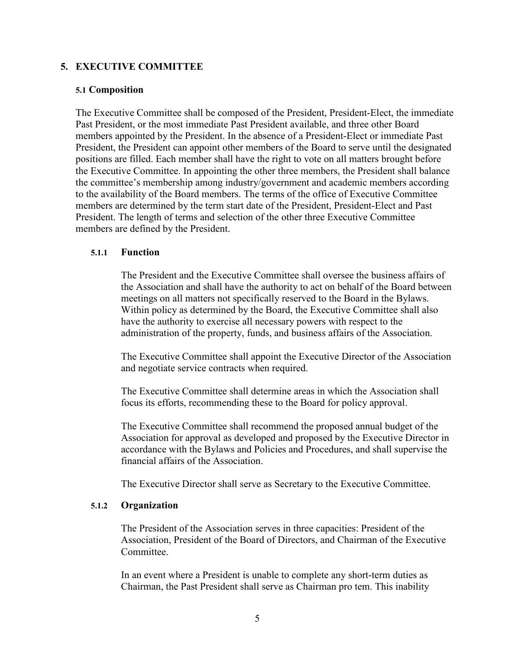# **5. EXECUTIVE COMMITTEE**

### **5.1 Composition**

The Executive Committee shall be composed of the President, President-Elect, the immediate Past President, or the most immediate Past President available, and three other Board members appointed by the President. In the absence of a President-Elect or immediate Past President, the President can appoint other members of the Board to serve until the designated positions are filled. Each member shall have the right to vote on all matters brought before the Executive Committee. In appointing the other three members, the President shall balance the committee's membership among industry/government and academic members according to the availability of the Board members. The terms of the office of Executive Committee members are determined by the term start date of the President, President-Elect and Past President. The length of terms and selection of the other three Executive Committee members are defined by the President.

### **5.1.1 Function**

The President and the Executive Committee shall oversee the business affairs of the Association and shall have the authority to act on behalf of the Board between meetings on all matters not specifically reserved to the Board in the Bylaws. Within policy as determined by the Board, the Executive Committee shall also have the authority to exercise all necessary powers with respect to the administration of the property, funds, and business affairs of the Association.

The Executive Committee shall appoint the Executive Director of the Association and negotiate service contracts when required.

The Executive Committee shall determine areas in which the Association shall focus its efforts, recommending these to the Board for policy approval.

The Executive Committee shall recommend the proposed annual budget of the Association for approval as developed and proposed by the Executive Director in accordance with the Bylaws and Policies and Procedures, and shall supervise the financial affairs of the Association.

The Executive Director shall serve as Secretary to the Executive Committee.

### **5.1.2 Organization**

The President of the Association serves in three capacities: President of the Association, President of the Board of Directors, and Chairman of the Executive Committee.

In an event where a President is unable to complete any short-term duties as Chairman, the Past President shall serve as Chairman pro tem. This inability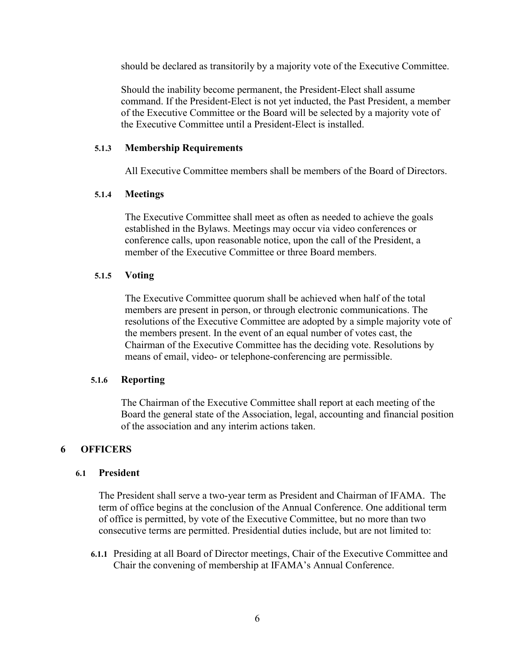should be declared as transitorily by a majority vote of the Executive Committee.

Should the inability become permanent, the President-Elect shall assume command. If the President-Elect is not yet inducted, the Past President, a member of the Executive Committee or the Board will be selected by a majority vote of the Executive Committee until a President-Elect is installed.

### **5.1.3 Membership Requirements**

All Executive Committee members shall be members of the Board of Directors.

### **5.1.4 Meetings**

The Executive Committee shall meet as often as needed to achieve the goals established in the Bylaws. Meetings may occur via video conferences or conference calls, upon reasonable notice, upon the call of the President, a member of the Executive Committee or three Board members.

### **5.1.5 Voting**

The Executive Committee quorum shall be achieved when half of the total members are present in person, or through electronic communications. The resolutions of the Executive Committee are adopted by a simple majority vote of the members present. In the event of an equal number of votes cast, the Chairman of the Executive Committee has the deciding vote. Resolutions by means of email, video- or telephone-conferencing are permissible.

#### **5.1.6 Reporting**

The Chairman of the Executive Committee shall report at each meeting of the Board the general state of the Association, legal, accounting and financial position of the association and any interim actions taken.

# **6 OFFICERS**

### **6.1 President**

The President shall serve a two-year term as President and Chairman of IFAMA. The term of office begins at the conclusion of the Annual Conference. One additional term of office is permitted, by vote of the Executive Committee, but no more than two consecutive terms are permitted. Presidential duties include, but are not limited to:

**6.1.1** Presiding at all Board of Director meetings, Chair of the Executive Committee and Chair the convening of membership at IFAMA's Annual Conference.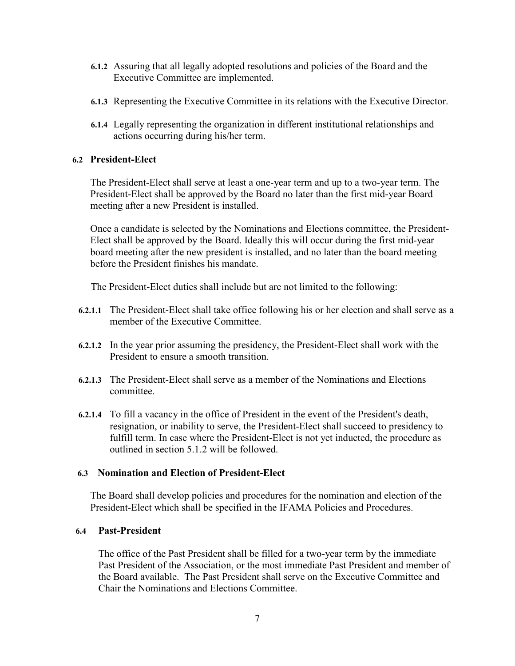- **6.1.2** Assuring that all legally adopted resolutions and policies of the Board and the Executive Committee are implemented.
- **6.1.3** Representing the Executive Committee in its relations with the Executive Director.
- **6.1.4** Legally representing the organization in different institutional relationships and actions occurring during his/her term.

# **6.2 President-Elect**

The President-Elect shall serve at least a one-year term and up to a two-year term. The President-Elect shall be approved by the Board no later than the first mid-year Board meeting after a new President is installed.

Once a candidate is selected by the Nominations and Elections committee, the President-Elect shall be approved by the Board. Ideally this will occur during the first mid-year board meeting after the new president is installed, and no later than the board meeting before the President finishes his mandate.

The President-Elect duties shall include but are not limited to the following:

- **6.2.1.1** The President-Elect shall take office following his or her election and shall serve as a member of the Executive Committee.
- **6.2.1.2** In the year prior assuming the presidency, the President-Elect shall work with the President to ensure a smooth transition.
- **6.2.1.3** The President-Elect shall serve as a member of the Nominations and Elections committee.
- **6.2.1.4** To fill a vacancy in the office of President in the event of the President's death, resignation, or inability to serve, the President-Elect shall succeed to presidency to fulfill term. In case where the President-Elect is not yet inducted, the procedure as outlined in section 5.1.2 will be followed.

# **6.3 Nomination and Election of President-Elect**

The Board shall develop policies and procedures for the nomination and election of the President-Elect which shall be specified in the IFAMA Policies and Procedures.

# **6.4 Past-President**

The office of the Past President shall be filled for a two-year term by the immediate Past President of the Association, or the most immediate Past President and member of the Board available. The Past President shall serve on the Executive Committee and Chair the Nominations and Elections Committee.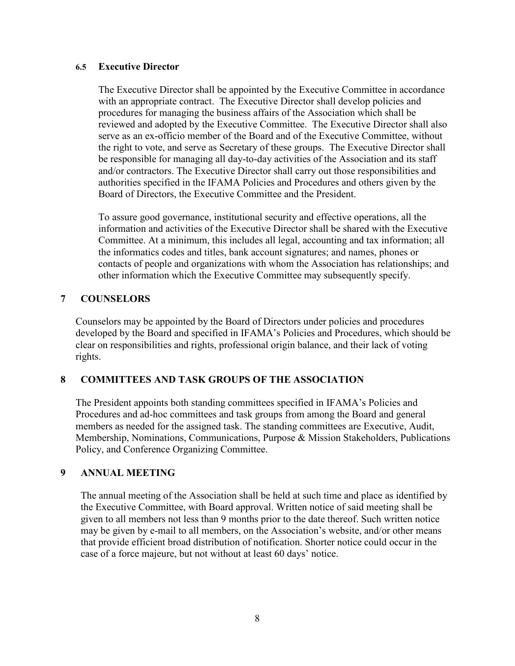# **6.5 Executive Director**

The Executive Director shall be appointed by the Executive Committee in accordance with an appropriate contract. The Executive Director shall develop policies and procedures for managing the business affairs of the Association which shall be reviewed and adopted by the Executive Committee. The Executive Director shall also serve as an ex-officio member of the Board and of the Executive Committee, without the right to vote, and serve as Secretary of these groups. The Executive Director shall be responsible for managing all day-to-day activities of the Association and its staff and/or contractors. The Executive Director shall carry out those responsibilities and authorities specified in the IFAMA Policies and Procedures and others given by the Board of Directors, the Executive Committee and the President.

To assure good governance, institutional security and effective operations, all the information and activities of the Executive Director shall be shared with the Executive Committee. At a minimum, this includes all legal, accounting and tax information; all the informatics codes and titles, bank account signatures; and names, phones or contacts of people and organizations with whom the Association has relationships; and other information which the Executive Committee may subsequently specify.

# **7 COUNSELORS**

Counselors may be appointed by the Board of Directors under policies and procedures developed by the Board and specified in IFAMA's Policies and Procedures, which should be clear on responsibilities and rights, professional origin balance, and their lack of voting rights.

# **8 COMMITTEES AND TASK GROUPS OF THE ASSOCIATION**

The President appoints both standing committees specified in IFAMA's Policies and Procedures and ad-hoc committees and task groups from among the Board and general members as needed for the assigned task. The standing committees are Executive, Audit, Membership, Nominations, Communications, Purpose & Mission Stakeholders, Publications Policy, and Conference Organizing Committee.

# **9 ANNUAL MEETING**

The annual meeting of the Association shall be held at such time and place as identified by the Executive Committee, with Board approval. Written notice of said meeting shall be given to all members not less than 9 months prior to the date thereof. Such written notice may be given by e-mail to all members, on the Association's website, and/or other means that provide efficient broad distribution of notification. Shorter notice could occur in the case of a force majeure, but not without at least 60 days' notice.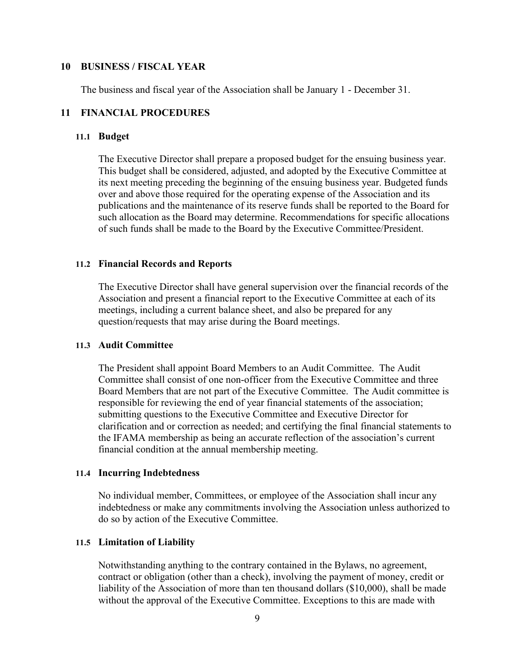### **10 BUSINESS / FISCAL YEAR**

The business and fiscal year of the Association shall be January 1 - December 31.

# **11 FINANCIAL PROCEDURES**

### **11.1 Budget**

The Executive Director shall prepare a proposed budget for the ensuing business year. This budget shall be considered, adjusted, and adopted by the Executive Committee at its next meeting preceding the beginning of the ensuing business year. Budgeted funds over and above those required for the operating expense of the Association and its publications and the maintenance of its reserve funds shall be reported to the Board for such allocation as the Board may determine. Recommendations for specific allocations of such funds shall be made to the Board by the Executive Committee/President.

### **11.2 Financial Records and Reports**

The Executive Director shall have general supervision over the financial records of the Association and present a financial report to the Executive Committee at each of its meetings, including a current balance sheet, and also be prepared for any question/requests that may arise during the Board meetings.

### **11.3 Audit Committee**

The President shall appoint Board Members to an Audit Committee. The Audit Committee shall consist of one non-officer from the Executive Committee and three Board Members that are not part of the Executive Committee. The Audit committee is responsible for reviewing the end of year financial statements of the association; submitting questions to the Executive Committee and Executive Director for clarification and or correction as needed; and certifying the final financial statements to the IFAMA membership as being an accurate reflection of the association's current financial condition at the annual membership meeting.

#### **11.4 Incurring Indebtedness**

No individual member, Committees, or employee of the Association shall incur any indebtedness or make any commitments involving the Association unless authorized to do so by action of the Executive Committee.

### **11.5 Limitation of Liability**

Notwithstanding anything to the contrary contained in the Bylaws, no agreement, contract or obligation (other than a check), involving the payment of money, credit or liability of the Association of more than ten thousand dollars (\$10,000), shall be made without the approval of the Executive Committee. Exceptions to this are made with